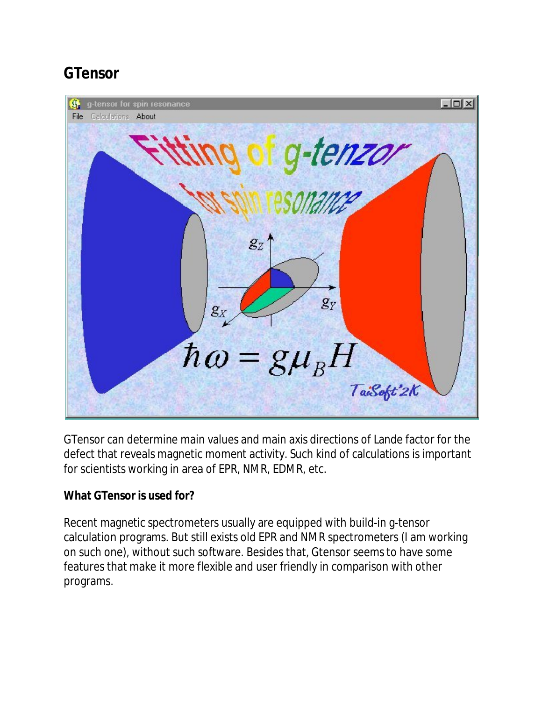# **GTensor**



GTensor can determine main values and main axis directions of Lande factor for the defect that reveals magnetic moment activity. Such kind of calculations is important for scientists working in area of EPR, NMR, EDMR, etc.

**What GTensor is used for?**

Recent magnetic spectrometers usually are equipped with build-in g-tensor calculation programs. But still exists old EPR and NMR spectrometers (I am working on such one), without such software. Besides that, Gtensor seems to have some features that make it more flexible and user friendly in comparison with other programs.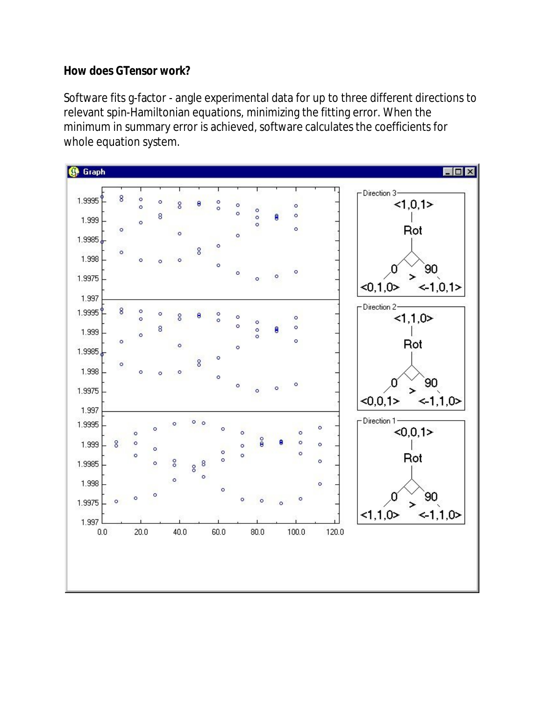#### **How does GTensor work?**

Software fits g-factor - angle experimental data for up to three different directions to relevant spin-Hamiltonian equations, minimizing the fitting error. When the minimum in summary error is achieved, software calculates the coefficients for whole equation system.

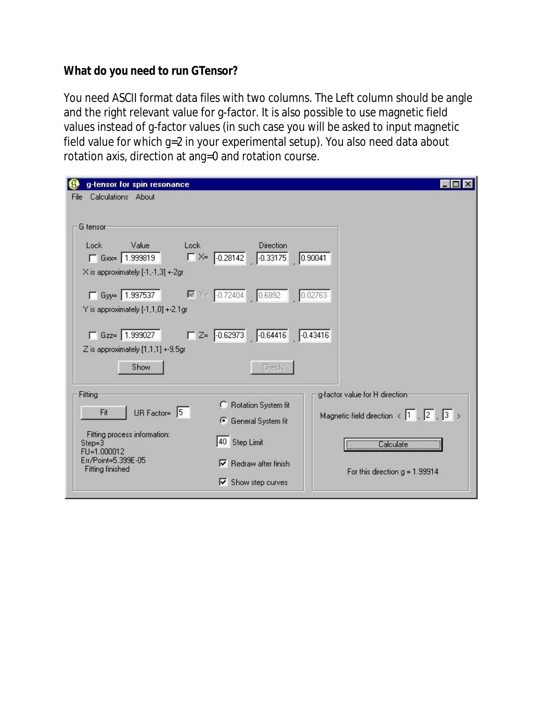**What do you need to run GTensor?**

You need ASCII format data files with two columns. The Left column should be angle and the right relevant value for g-factor. It is also possible to use magnetic field values instead of g-factor values (in such case you will be asked to input magnetic field value for which g=2 in your experimental setup). You also need data about rotation axis, direction at ang=0 and rotation course.

| g-tensor for spin resonance                    |                                                                                |                                                                          |
|------------------------------------------------|--------------------------------------------------------------------------------|--------------------------------------------------------------------------|
| Calculations About<br>File                     |                                                                                |                                                                          |
|                                                |                                                                                |                                                                          |
| G tensor                                       |                                                                                |                                                                          |
| Lock<br>Lock<br>Value                          | <b>Direction</b>                                                               |                                                                          |
| $\Gamma$ Gxx=   1.999819                       | $K = \begin{bmatrix} -0.28142 & 0.33175 & 0.90041 \end{bmatrix}$               |                                                                          |
| X is approximately [-1,-1,3] +-2gr             |                                                                                |                                                                          |
| $\Box$ Gyy=   1.997537                         | $\boxed{6}$ $\boxed{4}$ = $\boxed{0.72404}$ $\boxed{0.6892}$ $\boxed{0.02763}$ |                                                                          |
| Y is approximately [-1,1,0] +-2.1gr            |                                                                                |                                                                          |
|                                                |                                                                                |                                                                          |
| $\Box$ Gzz= 1.999027                           | $Z = \begin{bmatrix} 0.62973 & 0.64416 & 0.43416 \end{bmatrix}$                |                                                                          |
| Z is approximately [1,1,1] +-9.5gr             |                                                                                |                                                                          |
| Show                                           | <b>Check</b>                                                                   |                                                                          |
|                                                |                                                                                |                                                                          |
| Fitting                                        |                                                                                | g-factor value for H direction                                           |
| UR Factor= $\boxed{5}$<br>Fit                  | Rotation System fit                                                            |                                                                          |
|                                                | <b>6</b> General System fit                                                    | Magnetic field direction $\langle 1 \rangle$ , $\sqrt{2}$ , $\sqrt{3}$ > |
| Fitting process information:                   |                                                                                |                                                                          |
| Step=3<br>FU=1.000012                          | 40 Step Limit                                                                  | Calculate Calculate                                                      |
| Err/Point=5.399E-05<br><b>Fitting finished</b> | Redraw after finish                                                            |                                                                          |
|                                                | $\nabla$ Show step curves                                                      | For this direction $g = 1.99914$                                         |
|                                                |                                                                                |                                                                          |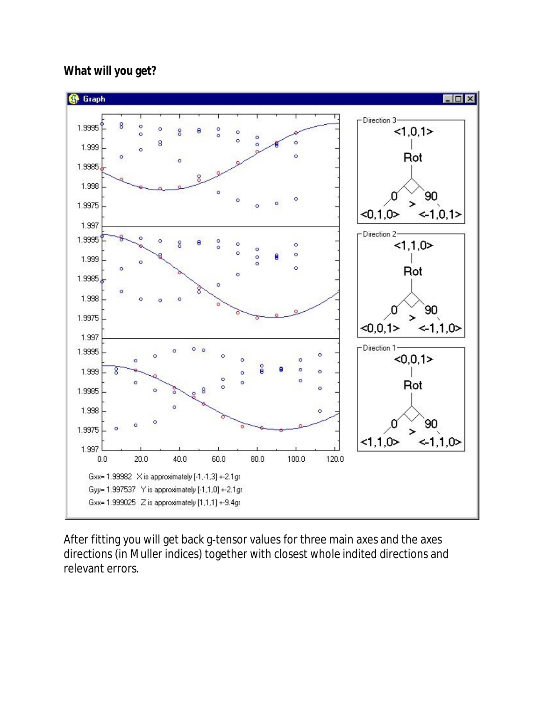### **What will you get?**



After fitting you will get back g-tensor values for three main axes and the axes directions (in Muller indices) together with closest whole indited directions and relevant errors.